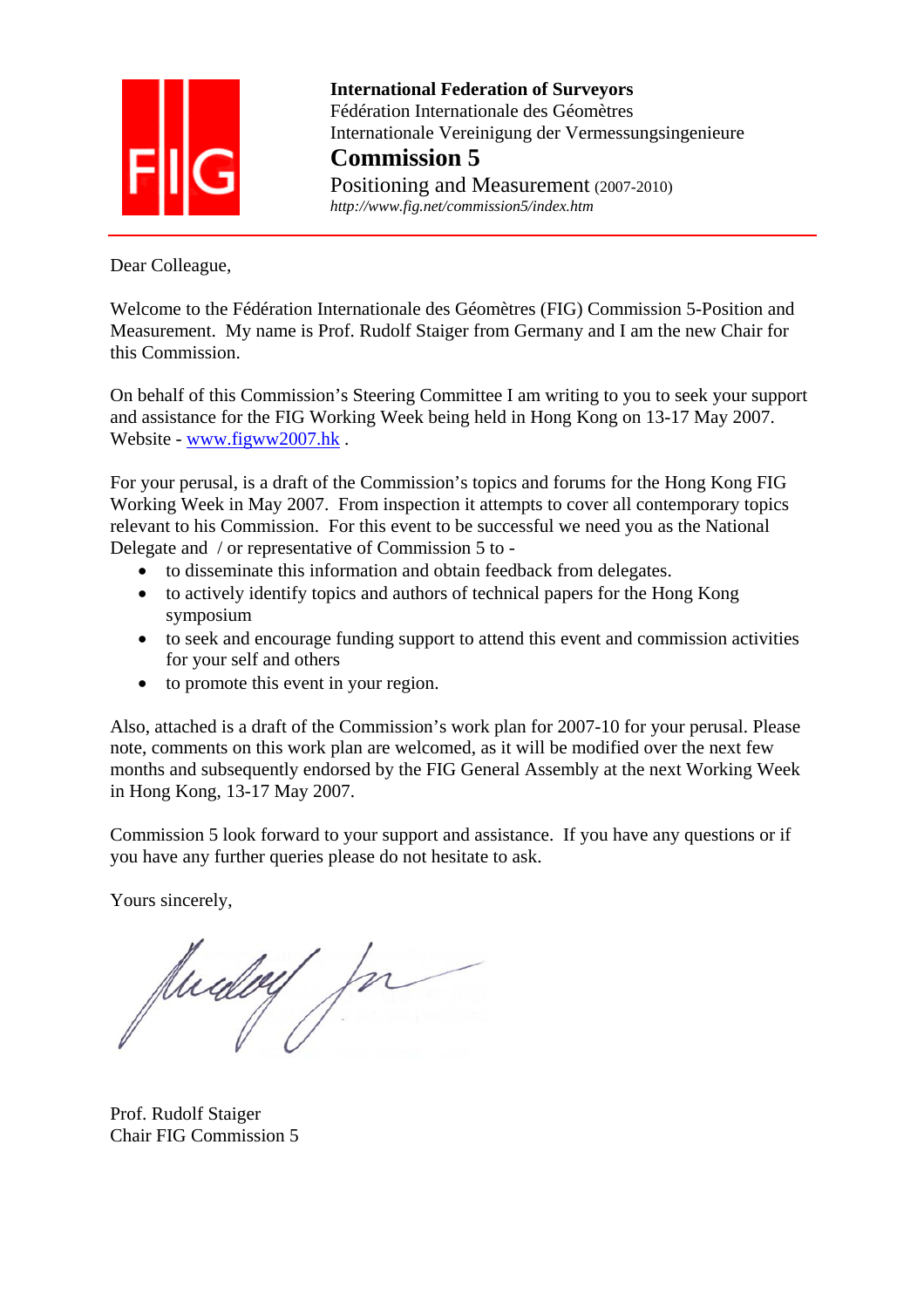

 **International Federation of Surveyors**  Fédération Internationale des Géomètres Internationale Vereinigung der Vermessungsingenieure **Commission 5** Positioning and Measurement (2007-2010)

 *http://www.fig.net/commission5/index.htm* 

Dear Colleague,

Welcome to the Fédération Internationale des Géomètres (FIG) Commission 5-Position and Measurement. My name is Prof. Rudolf Staiger from Germany and I am the new Chair for this Commission.

On behalf of this Commission's Steering Committee I am writing to you to seek your support and assistance for the FIG Working Week being held in Hong Kong on 13-17 May 2007. Website - www.figww2007.hk .

For your perusal, is a draft of the Commission's topics and forums for the Hong Kong FIG Working Week in May 2007. From inspection it attempts to cover all contemporary topics relevant to his Commission. For this event to be successful we need you as the National Delegate and / or representative of Commission 5 to -

- to disseminate this information and obtain feedback from delegates.
- to actively identify topics and authors of technical papers for the Hong Kong symposium
- to seek and encourage funding support to attend this event and commission activities for your self and others
- to promote this event in your region.

Also, attached is a draft of the Commission's work plan for 2007-10 for your perusal. Please note, comments on this work plan are welcomed, as it will be modified over the next few months and subsequently endorsed by the FIG General Assembly at the next Working Week in Hong Kong, 13-17 May 2007.

Commission 5 look forward to your support and assistance. If you have any questions or if you have any further queries please do not hesitate to ask.

Yours sincerely,

Audey for

Prof. Rudolf Staiger Chair FIG Commission 5